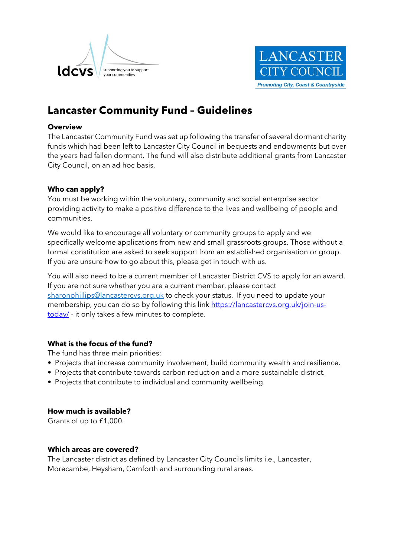



# **Lancaster Community Fund – Guidelines**

## **Overview**

The Lancaster Community Fund was set up following the transfer of several dormant charity funds which had been left to Lancaster City Council in bequests and endowments but over the years had fallen dormant. The fund will also distribute additional grants from Lancaster City Council, on an ad hoc basis.

## **Who can apply?**

You must be working within the voluntary, community and social enterprise sector providing activity to make a positive difference to the lives and wellbeing of people and communities.

We would like to encourage all voluntary or community groups to apply and we specifically welcome applications from new and small grassroots groups. Those without a formal constitution are asked to seek support from an established organisation or group. If you are unsure how to go about this, please get in touch with us.

You will also need to be a current member of Lancaster District CVS to apply for an award. If you are not sure whether you are a current member, please contact [sharonphillips@lancastercvs.org.uk](mailto:sharonphillips@lancastercvs.org.uk) to check your status. If you need to update your membership, you can do so by following this link https://lancastercys.org.uk/join-us[today/](https://lancastercvs.org.uk/join-us-today/) - it only takes a few minutes to complete.

# **What is the focus of the fund?**

The fund has three main priorities:

- Projects that increase community involvement, build community wealth and resilience.
- Projects that contribute towards carbon reduction and a more sustainable district.
- Projects that contribute to individual and community wellbeing.

## **How much is available?**

Grants of up to £1,000.

#### **Which areas are covered?**

The Lancaster district as defined by Lancaster City Councils limits i.e., Lancaster, Morecambe, Heysham, Carnforth and surrounding rural areas.